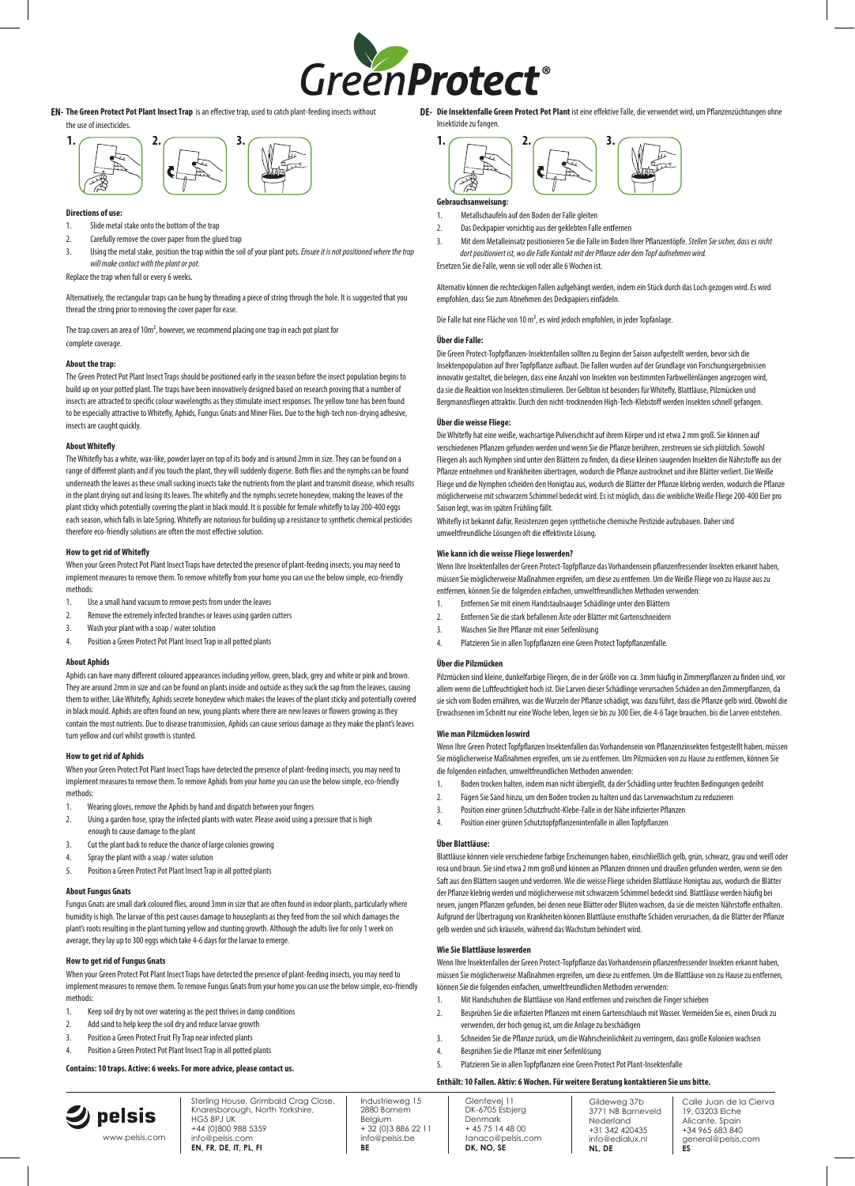

**The Green Protect Pot Plant Insect Trap** is an effective trap, used to catch plant-feeding insects without **EN- DE**the use of insecticides.



## **Directions of use:**

- 1. Slide metal stake onto the bottom of the trap
- 2. Carefully remove the cover paper from the glued trap
- 3. Using the metal stake, position the trap within the soil of your plant pots. *Ensure it is not positioned where the trap will make contact with the plant or pot.*

Replace the trap when full or every 6 weeks.

Alternatively, the rectangular traps can be hung by threading a piece of string through the hole. It is suggested that you thread the string prior to removing the cover paper for ease.

The trap covers an area of 10m², however, we recommend placing one trap in each pot plant for complete coverage.

## **About the trap:**

The Green Protect Pot Plant Insect Traps should be positioned early in the season before the insect population begins to build up on your potted plant. The traps have been innovatively designed based on research proving that a number of insects are attracted to specific colour wavelengths as they stimulate insect responses. The yellow tone has been found to be especially attractive to Whitefly, Aphids, Fungus Gnats and Miner Flies. Due to the high-tech non-drying adhesive, insects are caught quickly.

#### **About Whitefly**

The Whitefly has a white, wax-like, powder layer on top of its body and is around 2mm in size. They can be found on a range of different plants and if you touch the plant, they will suddenly disperse. Both flies and the nymphs can be found underneath the leaves as these small sucking insects take the nutrients from the plant and transmit disease, which results in the plant drying out and losing its leaves. The whitefly and the nymphs secrete honeydew, making the leaves of the plant sticky which potentially covering the plant in black mould. It is possible for female whitefly to lay 200-400 eggs each season, which falls in late Spring. Whitefly are notorious for building up a resistance to synthetic chemical pesticides therefore eco-friendly solutions are often the most effective solution.

## **How to get rid of Whitefly**

When your Green Protect Pot Plant Insect Traps have detected the presence of plant-feeding insects, you may need to implement measures to remove them. To remove whitefly from your home you can use the below simple, eco-friendly methods:

- 1. Use a small hand vacuum to remove pests from under the leaves
- 2. Remove the extremely infected branches or leaves using garden cutters
- 3. Wash your plant with a soap / water solution
- 4. Position a Green Protect Pot Plant Insect Trap in all potted plants

#### **About Aphids**

Aphids can have many different coloured appearances including yellow, green, black, grey and white or pink and brown. They are around 2mm in size and can be found on plants inside and outside as they suck the sap from the leaves, causing them to wither. Like Whitefly, Aphids secrete honeydew which makes the leaves of the plant sticky and potentially covered in black mould. Aphids are often found on new, young plants where there are new leaves or flowers growing as they contain the most nutrients. Due to disease transmission, Aphids can cause serious damage as they make the plant's leaves turn yellow and curl whilst growth is stunted.

### **How to get rid of Aphids**

When your Green Protect Pot Plant Insect Traps have detected the presence of plant-feeding insects, you may need to implement measures to remove them. To remove Aphids from your home you can use the below simple, eco-friendly methods:

1. Wearing gloves, remove the Aphids by hand and dispatch between your fingers

- 2. Using a garden hose, spray the infected plants with water. Please avoid using a pressure that is high enough to cause damage to the plant
- 3. Cut the plant back to reduce the chance of large colonies growing
- 4. Spray the plant with a soap / water solution
- 5.Position a Green Protect Pot Plant Insect Trap in all potted plants

## **About Fungus Gnats**

Fungus Gnats are small dark coloured flies, around 3mm in size that are often found in indoor plants, particularly where humidity is high. The larvae of this pest causes damage to houseplants as they feed from the soil which damages the plant's roots resulting in the plant turning yellow and stunting growth. Although the adults live for only 1 week on average, they lay up to 300 eggs which take 4-6 days for the larvae to emerge.

# **How to get rid of Fungus Gnats**

When your Green Protect Pot Plant Insect Traps have detected the presence of plant-feeding insects, you may need to implement measures to remove them. To remove Fungus Gnats from your home you can use the below simple, eco-friendly methods:

- 1. Keep soil dry by not over watering as the pest thrives in damp conditions
- 2. Add sand to help keep the soil dry and reduce larvae growth
- 3. Position a Green Protect Fruit Fly Trap near infected plants
- Position a Green Protect Pot Plant Insect Trap in all potted plants

# **Contains: 10 traps. Active: 6 weeks. For more advice, please contact us.**



Sterling House, Grimbald Crag Close, Knaresborough, North Yorkshire, HG5 8PJ UK +44 (0)800 988 5359 info@pelsis.com **EN, FR, DE, IT, PL, FI**

**Die Insektenfalle Green Protect Pot Plant** ist eine effektive Falle, die verwendet wird, um Pflanzenzüchtungen ohne Insektizide zu fangen.



- 1. Metallschaufeln auf den Boden der Falle gleiten
- 
- 2. Das Deckpapier vorsichtig aus der geklebten Falle entfernen
- 3. Mit dem Metalleinsatz positionieren Sie die Falle im Boden Ihrer Pflanzentöpfe. *Stellen Sie sicher, dass es nicht dort positioniert ist, wo die Falle Kontakt mit der Pflanze oder dem Topf aufnehmen wird.*

Ersetzen Sie die Falle, wenn sie voll oder alle 6 Wochen ist.

Alternativ können die rechteckigen Fallen aufgehängt werden, indem ein Stück durch das Loch gezogen wird. Es wird empfohlen, dass Sie zum Abnehmen des Deckpapiers einfädeln.

Die Falle hat eine Fläche von 10 m², es wird jedoch empfohlen, in jeder Topfanlage.

#### **Über die Falle:**

Die Green Protect-Topfpflanzen-Insektenfallen sollten zu Beginn der Saison aufgestellt werden, bevor sich die Insektenpopulation auf Ihrer Topfpflanze aufbaut. Die Fallen wurden auf der Grundlage von Forschungsergebnissen innovativ gestaltet, die belegen, dass eine Anzahl von Insekten von bestimmten Farbwellenlängen angezogen wird, da sie die Reaktion von Insekten stimulieren. Der Gelbton ist besonders für Whitefly, Blattläuse, Pilzmücken und Bergmannsfliegen attraktiv. Durch den nicht-trocknenden High-Tech-Klebstoff werden Insekten schnell gefangen.

## **Über die weisse Fliege:**

Die Whitefly hat eine weiße, wachsartige Pulverschicht auf ihrem Körper und ist etwa 2 mm groß. Sie können auf verschiedenen Pflanzen gefunden werden und wenn Sie die Pflanze berühren, zerstreuen sie sich plötzlich. Sowohl Fliegen als auch Nymphen sind unter den Blättern zu finden, da diese kleinen saugenden Insekten die Nährstoffe aus der Pflanze entnehmen und Krankheiten übertragen, wodurch die Pflanze austrocknet und ihre Blätter verliert. Die Weiße Fliege und die Nymphen scheiden den Honigtau aus, wodurch die Blätter der Pflanze klebrig werden, wodurch die Pflanze möglicherweise mit schwarzem Schimmel bedeckt wird. Es ist möglich, dass die weibliche Weiße Fliege 200-400 Eier pro Saison legt, was im späten Frühling fällt.

Whitefly ist bekannt dafür, Resistenzen gegen synthetische chemische Pestizide aufzubauen. Daher sind umweltfreundliche Lösungen oft die effektivste Lösung.

## **Wie kann ich die weisse Fliege loswerden?**

Wenn Ihre Insektenfallen der Green Protect-Topfpflanze das Vorhandensein pflanzenfressender Insekten erkannt haben, müssen Sie möglicherweise Maßnahmen ergreifen, um diese zu entfernen. Um die Weiße Fliege von zu Hause aus zu entfernen, können Sie die folgenden einfachen, umweltfreundlichen Methoden verwenden:

- 1. Entfernen Sie mit einem Handstaubsauger Schädlinge unter den Blättern
- 2. Entfernen Sie die stark befallenen Äste oder Blätter mit Gartenschneidern
- 3. Waschen Sie Ihre Pflanze mit einer Seifenlösung
- 4. Platzieren Sie in allen Topfpflanzen eine Green Protect Topfpflanzenfalle.

#### **Über die Pilzmücken**

Pilzmücken sind kleine, dunkelfarbige Fliegen, die in der Größe von ca. 3mm häufig in Zimmerpflanzen zu finden sind, vor allem wenn die Luftfeuchtigkeit hoch ist. Die Larven dieser Schädlinge verursachen Schäden an den Zimmerpflanzen, da sie sich vom Boden ernähren, was die Wurzeln der Pflanze schädigt, was dazu führt, dass die Pflanze gelb wird. Obwohl die Erwachsenen im Schnitt nur eine Woche leben, legen sie bis zu 300 Eier, die 4-6 Tage brauchen, bis die Larven entstehen.

#### **Wie man Pilzmücken loswird**

Wenn Ihre Green Protect Topfpflanzen Insektenfallen das Vorhandensein von Pflanzenzinsekten festgestellt haben, müssen Sie möglicherweise Maßnahmen ergreifen, um sie zu entfernen. Um Pilzmücken von zu Hause zu entfernen, können Sie die folgenden einfachen, umweltfreundlichen Methoden anwenden:

- 1. Boden trocken halten, indem man nicht übergießt, da der Schädling unter feuchten Bedingungen gedeiht
- 2. Fügen Sie Sand hinzu, um den Boden trocken zu halten und das Larvenwachstum zu reduzieren
- 3. Position einer grünen Schutzfrucht-Klebe-Falle in der Nähe infizierter Pflanzen
- 4. Position einer grünen Schutztopfpflanzenintenfalle in allen Topfpflanzen

#### **Über Blattläuse:**

Blattläuse können viele verschiedene farbige Erscheinungen haben, einschließlich gelb, grün, schwarz, grau und weiß oder rosa und braun. Sie sind etwa 2 mm groß und können an Pflanzen drinnen und draußen gefunden werden, wenn sie den Saft aus den Blättern saugen und verdorren. Wie die weisse Fliege scheiden Blattläuse Honigtau aus, wodurch die Blätter der Pflanze klebrig werden und möglicherweise mit schwarzem Schimmel bedeckt sind. Blattläuse werden häufig bei neuen, jungen Pflanzen gefunden, bei denen neue Blätter oder Blüten wachsen, da sie die meisten Nährstoffe enthalten. Aufgrund der Übertragung von Krankheiten können Blattläuse ernsthafte Schäden verursachen, da die Blätter der Pflanze gelb werden und sich kräuseln, während das Wachstum behindert wird.

## **Wie Sie Blattläuse loswerden**

Wenn Ihre Insektenfallen der Green Protect-Topfpflanze das Vorhandensein pflanzenfressender Insekten erkannt haben, müssen Sie möglicherweise Maßnahmen ergreifen, um diese zu entfernen. Um die Blattläuse von zu Hause zu entfernen, können Sie die folgenden einfachen, umweltfreundlichen Methoden verwenden:

- 1. Mit Handschuhen die Blattläuse von Hand entfernen und zwischen die Finger schieben
- 2. Besprühen Sie die infizierten Pflanzen mit einem Gartenschlauch mit Wasser. Vermeiden Sie es, einen Druck zu verwenden, der hoch genug ist, um die Anlage zu beschädigen
- 3. Schneiden Sie die Pflanze zurück, um die Wahrscheinlichkeit zu verringern, dass große Kolonien wachsen
- 4. Besprühen Sie die Pflanze mit einer Seifenlösung
- 5. Platzieren Sie in allen Topfpflanzen eine Green Protect Pot Plant-Insektenfalle

### **Enthält: 10 Fallen. Aktiv: 6 Wochen. Für weitere Beratung kontaktieren Sie uns bitte.**

| Glentevej 11      |
|-------------------|
| DK-6705 Esbjerg   |
| Denmark           |
| $+4575144800$     |
| tanaco@pelsis.com |
| DK. NO. SE        |

Industrieweg 15 2880 Bornem Belgium + 32 (0)3 886 22 11 info@pelsis.be **BE**

Gildeweg 37b 3771 NB Barneveld Nederland +31 342 420435 info@edialux.nl **NL, DE**

Calle Juan de la Cierva 19, 03203 Elche Alicante, Spain +34 965 683 840 general@pelsis.com **ES**